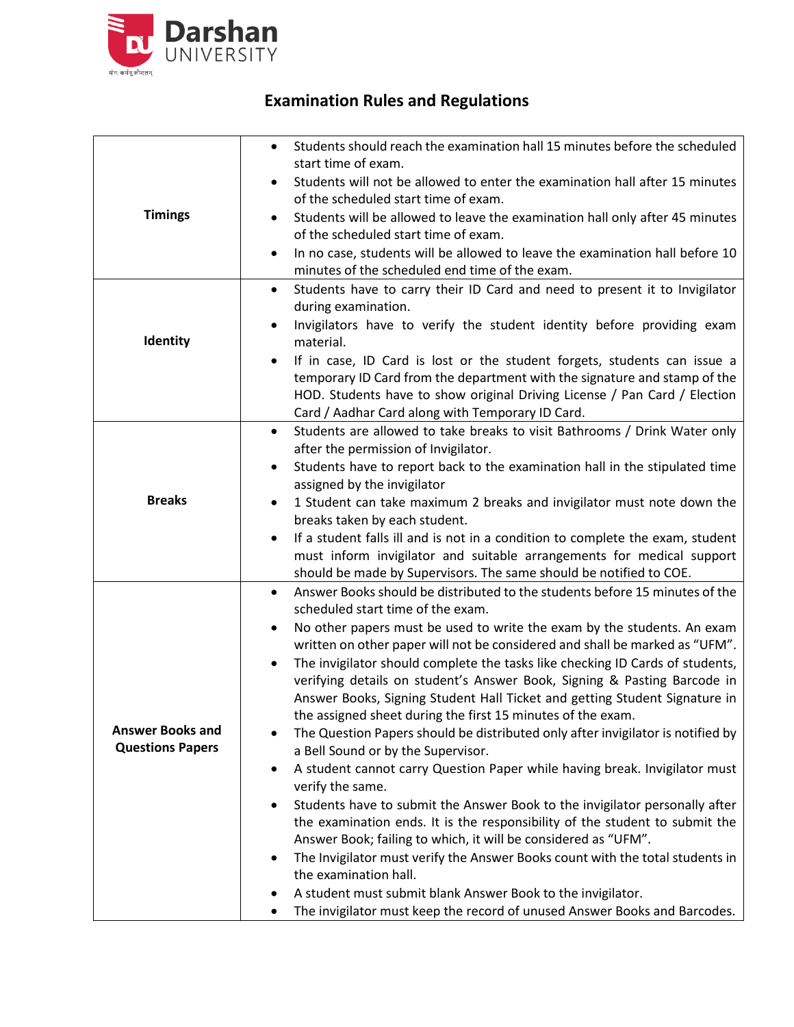

## **Examination Rules and Regulations**

| <b>Timings</b>                                     | Students should reach the examination hall 15 minutes before the scheduled<br>$\bullet$<br>start time of exam.<br>Students will not be allowed to enter the examination hall after 15 minutes<br>of the scheduled start time of exam.<br>Students will be allowed to leave the examination hall only after 45 minutes<br>of the scheduled start time of exam.<br>In no case, students will be allowed to leave the examination hall before 10<br>minutes of the scheduled end time of the exam.                                                                                                                                                                                                                                                                                                                                                                                                                                                                                                                                                                                                                                                                                                                                                                                                                                           |
|----------------------------------------------------|-------------------------------------------------------------------------------------------------------------------------------------------------------------------------------------------------------------------------------------------------------------------------------------------------------------------------------------------------------------------------------------------------------------------------------------------------------------------------------------------------------------------------------------------------------------------------------------------------------------------------------------------------------------------------------------------------------------------------------------------------------------------------------------------------------------------------------------------------------------------------------------------------------------------------------------------------------------------------------------------------------------------------------------------------------------------------------------------------------------------------------------------------------------------------------------------------------------------------------------------------------------------------------------------------------------------------------------------|
| Identity                                           | Students have to carry their ID Card and need to present it to Invigilator<br>$\bullet$<br>during examination.<br>Invigilators have to verify the student identity before providing exam<br>material.<br>If in case, ID Card is lost or the student forgets, students can issue a<br>temporary ID Card from the department with the signature and stamp of the<br>HOD. Students have to show original Driving License / Pan Card / Election<br>Card / Aadhar Card along with Temporary ID Card.                                                                                                                                                                                                                                                                                                                                                                                                                                                                                                                                                                                                                                                                                                                                                                                                                                           |
| <b>Breaks</b>                                      | Students are allowed to take breaks to visit Bathrooms / Drink Water only<br>٠<br>after the permission of Invigilator.<br>Students have to report back to the examination hall in the stipulated time<br>assigned by the invigilator<br>1 Student can take maximum 2 breaks and invigilator must note down the<br>breaks taken by each student.<br>If a student falls ill and is not in a condition to complete the exam, student<br>$\bullet$<br>must inform invigilator and suitable arrangements for medical support<br>should be made by Supervisors. The same should be notified to COE.                                                                                                                                                                                                                                                                                                                                                                                                                                                                                                                                                                                                                                                                                                                                             |
| <b>Answer Books and</b><br><b>Questions Papers</b> | Answer Books should be distributed to the students before 15 minutes of the<br>$\bullet$<br>scheduled start time of the exam.<br>No other papers must be used to write the exam by the students. An exam<br>٠<br>written on other paper will not be considered and shall be marked as "UFM".<br>The invigilator should complete the tasks like checking ID Cards of students,<br>verifying details on student's Answer Book, Signing & Pasting Barcode in<br>Answer Books, Signing Student Hall Ticket and getting Student Signature in<br>the assigned sheet during the first 15 minutes of the exam.<br>The Question Papers should be distributed only after invigilator is notified by<br>a Bell Sound or by the Supervisor.<br>A student cannot carry Question Paper while having break. Invigilator must<br>$\bullet$<br>verify the same.<br>Students have to submit the Answer Book to the invigilator personally after<br>the examination ends. It is the responsibility of the student to submit the<br>Answer Book; failing to which, it will be considered as "UFM".<br>The Invigilator must verify the Answer Books count with the total students in<br>the examination hall.<br>A student must submit blank Answer Book to the invigilator.<br>The invigilator must keep the record of unused Answer Books and Barcodes.<br>٠ |